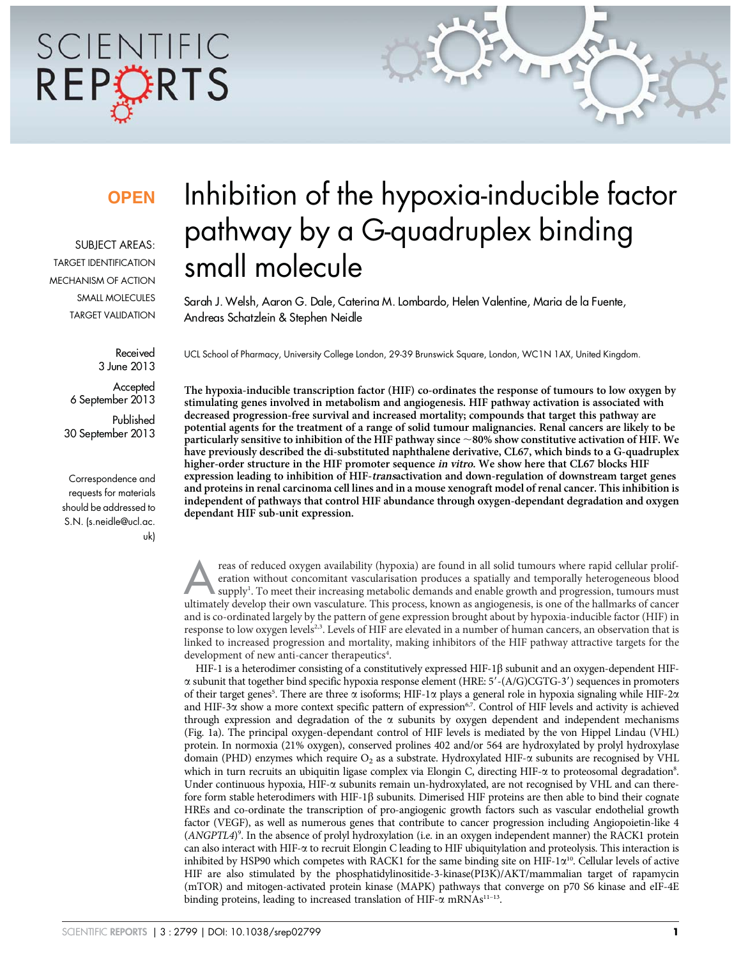# SCIENTIFIC REPCRTS

### **OPEN**

SUBJECT AREAS: TARGET IDENTIFICATION MECHANISM OF ACTION SMALL MOLECULES TARGET VALIDATION

> Received 3 June 2013

**Accepted** 6 September 2013 Published 30 September 2013

Correspondence and requests for materials should be addressed to S.N. (s.neidle@ucl.ac. uk)

## Inhibition of the hypoxia-inducible factor pathway by a G-quadruplex binding small molecule

Sarah J. Welsh, Aaron G. Dale, Caterina M. Lombardo, Helen Valentine, Maria de la Fuente, Andreas Schatzlein & Stephen Neidle

UCL School of Pharmacy, University College London, 29-39 Brunswick Square, London, WC1N 1AX, United Kingdom.

The hypoxia-inducible transcription factor (HIF) co-ordinates the response of tumours to low oxygen by stimulating genes involved in metabolism and angiogenesis. HIF pathway activation is associated with decreased progression-free survival and increased mortality; compounds that target this pathway are potential agents for the treatment of a range of solid tumour malignancies. Renal cancers are likely to be particularly sensitive to inhibition of the HIF pathway since  $\sim$ 80% show constitutive activation of HIF. We have previously described the di-substituted naphthalene derivative, CL67, which binds to a G-quadruplex higher-order structure in the HIF promoter sequence in vitro. We show here that CL67 blocks HIF expression leading to inhibition of HIF-transactivation and down-regulation of downstream target genes and proteins in renal carcinoma cell lines and in a mouse xenograft model of renal cancer. This inhibition is independent of pathways that control HIF abundance through oxygen-dependant degradation and oxygen dependant HIF sub-unit expression.

reas of reduced oxygen availability (hypoxia) are found in all solid tumours where rapid cellular proliferation without concomitant vascularisation produces a spatially and temporally heterogeneous blood supply<sup>1</sup>. To meet their increasing metabolic demands and enable growth and progression, tumours must ultimately develop their own vasculature. This process, known as angiogenesis, is one of the hallmarks of cancer and is co-ordinated largely by the pattern of gene expression brought about by hypoxia-inducible factor (HIF) in response to low oxygen levels<sup>2,3</sup>. Levels of HIF are elevated in a number of human cancers, an observation that is linked to increased progression and mortality, making inhibitors of the HIF pathway attractive targets for the development of new anti-cancer therapeutics<sup>4</sup>.

HIF-1 is a heterodimer consisting of a constitutively expressed HIF-1 $\beta$  subunit and an oxygen-dependent HIF- $\alpha$  subunit that together bind specific hypoxia response element (HRE:  $5'$ -(A/G)CGTG-3') sequences in promoters of their target genes<sup>5</sup>. There are three  $\alpha$  isoforms; HIF-1 $\alpha$  plays a general role in hypoxia signaling while HIF-2 $\alpha$ and HIF-3 $\alpha$  show a more context specific pattern of expression<sup>6,7</sup>. Control of HIF levels and activity is achieved through expression and degradation of the  $\alpha$  subunits by oxygen dependent and independent mechanisms (Fig. 1a). The principal oxygen-dependant control of HIF levels is mediated by the von Hippel Lindau (VHL) protein. In normoxia (21% oxygen), conserved prolines 402 and/or 564 are hydroxylated by prolyl hydroxylase domain (PHD) enzymes which require O<sub>2</sub> as a substrate. Hydroxylated HIF- $\alpha$  subunits are recognised by VHL which in turn recruits an ubiquitin ligase complex via Elongin C, directing HIF- $\alpha$  to proteosomal degradation<sup>8</sup>. Under continuous hypoxia, HIF- $\alpha$  subunits remain un-hydroxylated, are not recognised by VHL and can therefore form stable heterodimers with HIF-1 $\beta$  subunits. Dimerised HIF proteins are then able to bind their cognate HREs and co-ordinate the transcription of pro-angiogenic growth factors such as vascular endothelial growth factor (VEGF), as well as numerous genes that contribute to cancer progression including Angiopoietin-like 4 (ANGPTL4) 9 . In the absence of prolyl hydroxylation (i.e. in an oxygen independent manner) the RACK1 protein can also interact with HIF-a to recruit Elongin C leading to HIF ubiquitylation and proteolysis. This interaction is inhibited by HSP90 which competes with RACK1 for the same binding site on HIF-1 $\alpha^{10}$ . Cellular levels of active HIF are also stimulated by the phosphatidylinositide-3-kinase(PI3K)/AKT/mammalian target of rapamycin (mTOR) and mitogen-activated protein kinase (MAPK) pathways that converge on p70 S6 kinase and eIF-4E binding proteins, leading to increased translation of HIF- $\alpha$  mRNAs<sup>11–13</sup>.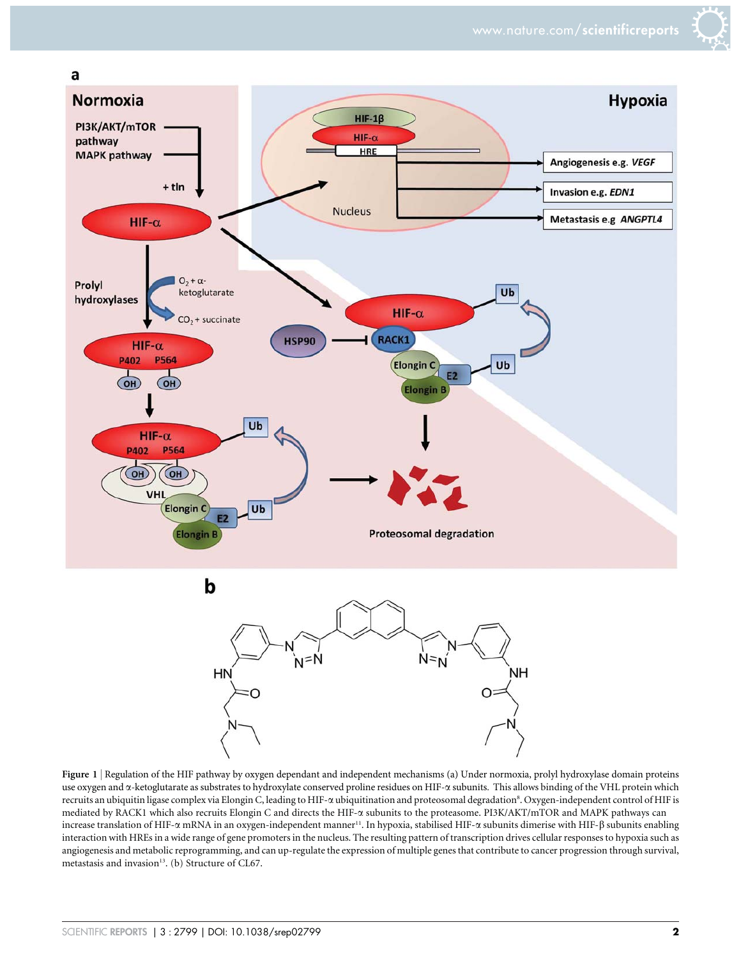



Figure 1 <sup>|</sup> Regulation of the HIF pathway by oxygen dependant and independent mechanisms (a) Under normoxia, prolyl hydroxylase domain proteins use oxygen and  $\alpha$ -ketoglutarate as substrates to hydroxylate conserved proline residues on HIF- $\alpha$  subunits. This allows binding of the VHL protein which recruits an ubiquitin ligase complex via Elongin C, leading to HIF-α ubiquitination and proteosomal degradation<sup>8</sup>. Oxygen-independent control of HIF is mediated by RACK1 which also recruits Elongin C and directs the HIF-a subunits to the proteasome. PI3K/AKT/mTOR and MAPK pathways can increase translation of HIF- $\alpha$  mRNA in an oxygen-independent manner<sup>11</sup>. In hypoxia, stabilised HIF- $\alpha$  subunits dimerise with HIF- $\beta$  subunits enabling interaction with HREs in a wide range of gene promoters in the nucleus. The resulting pattern of transcription drives cellular responses to hypoxia such as angiogenesis and metabolic reprogramming, and can up-regulate the expression of multiple genes that contribute to cancer progression through survival, metastasis and invasion $13$ . (b) Structure of CL67.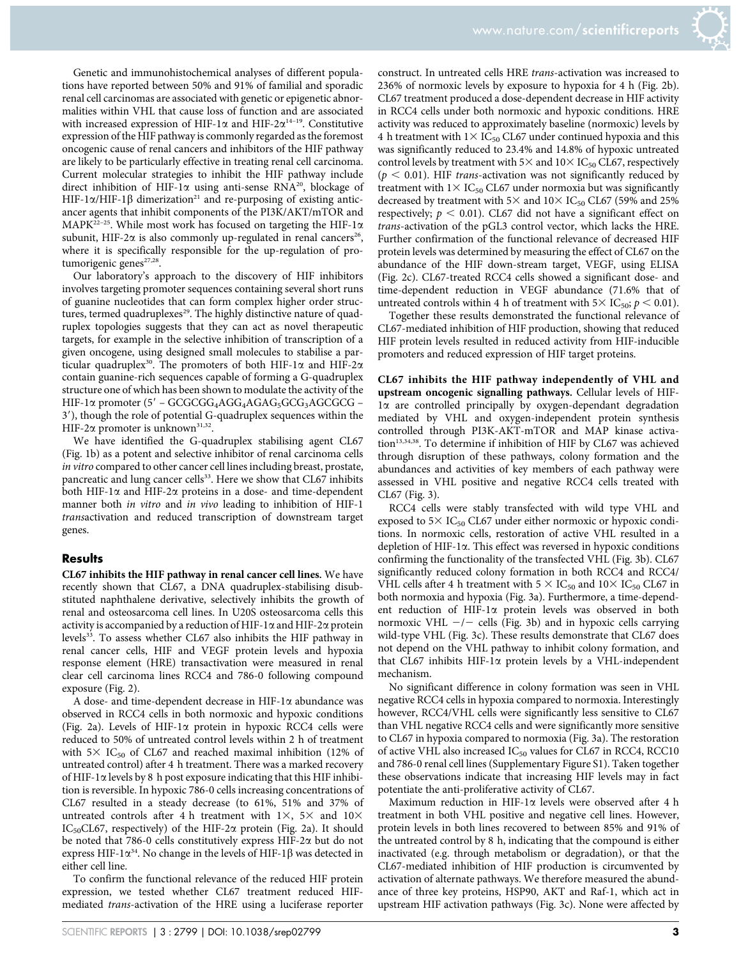

Genetic and immunohistochemical analyses of different populations have reported between 50% and 91% of familial and sporadic renal cell carcinomas are associated with genetic or epigenetic abnormalities within VHL that cause loss of function and are associated with increased expression of HIF-1 $\alpha$  and HIF-2 $\alpha^{14-19}$ . Constitutive expression of the HIF pathway is commonly regarded as the foremost oncogenic cause of renal cancers and inhibitors of the HIF pathway are likely to be particularly effective in treating renal cell carcinoma. Current molecular strategies to inhibit the HIF pathway include direct inhibition of HIF-1 $\alpha$  using anti-sense RNA<sup>20</sup>, blockage of HIF-1 $\alpha$ /HIF-1 $\beta$  dimerization<sup>21</sup> and re-purposing of existing anticancer agents that inhibit components of the PI3K/AKT/mTOR and MAPK<sup>22–25</sup>. While most work has focused on targeting the HIF-1 $\alpha$ subunit, HIF-2 $\alpha$  is also commonly up-regulated in renal cancers<sup>26</sup>, where it is specifically responsible for the up-regulation of protumorigenic genes<sup>27,28</sup>.

Our laboratory's approach to the discovery of HIF inhibitors involves targeting promoter sequences containing several short runs of guanine nucleotides that can form complex higher order structures, termed quadruplexes<sup>29</sup>. The highly distinctive nature of quadruplex topologies suggests that they can act as novel therapeutic targets, for example in the selective inhibition of transcription of a given oncogene, using designed small molecules to stabilise a particular quadruplex<sup>30</sup>. The promoters of both HIF-1 $\alpha$  and HIF-2 $\alpha$ contain guanine-rich sequences capable of forming a G-quadruplex structure one of which has been shown to modulate the activity of the HIF-1 $\alpha$  promoter (5' – GCGCGG<sub>4</sub>AGG<sub>4</sub>AGAG<sub>5</sub>GCG<sub>3</sub>AGCGCG – 3'), though the role of potential G-quadruplex sequences within the HIF-2 $\alpha$  promoter is unknown<sup>31,32</sup>.

We have identified the G-quadruplex stabilising agent CL67 (Fig. 1b) as a potent and selective inhibitor of renal carcinoma cells in vitro compared to other cancer cell lines including breast, prostate, pancreatic and lung cancer cells<sup>33</sup>. Here we show that CL67 inhibits both HIF-1 $\alpha$  and HIF-2 $\alpha$  proteins in a dose- and time-dependent manner both in vitro and in vivo leading to inhibition of HIF-1 transactivation and reduced transcription of downstream target genes.

#### **Results**

CL67 inhibits the HIF pathway in renal cancer cell lines. We have recently shown that CL67, a DNA quadruplex-stabilising disubstituted naphthalene derivative, selectively inhibits the growth of renal and osteosarcoma cell lines. In U20S osteosarcoma cells this activity is accompanied by a reduction of HIF-1 $\alpha$  and HIF-2 $\alpha$  protein levels<sup>33</sup>. To assess whether CL67 also inhibits the HIF pathway in renal cancer cells, HIF and VEGF protein levels and hypoxia response element (HRE) transactivation were measured in renal clear cell carcinoma lines RCC4 and 786-0 following compound exposure (Fig. 2).

A dose- and time-dependent decrease in HIF-1 $\alpha$  abundance was observed in RCC4 cells in both normoxic and hypoxic conditions (Fig. 2a). Levels of HIF-1 $\alpha$  protein in hypoxic RCC4 cells were reduced to 50% of untreated control levels within 2 h of treatment with  $5 \times$  IC<sub>50</sub> of CL67 and reached maximal inhibition (12% of untreated control) after 4 h treatment. There was a marked recovery of HIF-1 $\alpha$  levels by 8 h post exposure indicating that this HIF inhibition is reversible. In hypoxic 786-0 cells increasing concentrations of CL67 resulted in a steady decrease (to 61%, 51% and 37% of untreated controls after 4 h treatment with  $1\times$ ,  $5\times$  and  $10\times$ IC<sub>50</sub>CL67, respectively) of the HIF-2 $\alpha$  protein (Fig. 2a). It should be noted that 786-0 cells constitutively express HIF-2 $\alpha$  but do not express HIF-1 $\alpha^{34}$ . No change in the levels of HIF-1 $\beta$  was detected in either cell line.

To confirm the functional relevance of the reduced HIF protein expression, we tested whether CL67 treatment reduced HIFmediated trans-activation of the HRE using a luciferase reporter

236% of normoxic levels by exposure to hypoxia for 4 h (Fig. 2b). CL67 treatment produced a dose-dependent decrease in HIF activity in RCC4 cells under both normoxic and hypoxic conditions. HRE activity was reduced to approximately baseline (normoxic) levels by 4 h treatment with  $1\times$  IC<sub>50</sub> CL67 under continued hypoxia and this was significantly reduced to 23.4% and 14.8% of hypoxic untreated control levels by treatment with  $5\times$  and  $10\times$  IC<sub>50</sub> CL67, respectively  $(p < 0.01)$ . HIF trans-activation was not significantly reduced by treatment with  $1 \times$  IC<sub>50</sub> CL67 under normoxia but was significantly decreased by treatment with  $5\times$  and  $10\times$  IC<sub>50</sub> CL67 (59% and 25% respectively;  $p < 0.01$ ). CL67 did not have a significant effect on trans-activation of the pGL3 control vector, which lacks the HRE. Further confirmation of the functional relevance of decreased HIF protein levels was determined by measuring the effect of CL67 on the abundance of the HIF down-stream target, VEGF, using ELISA (Fig. 2c). CL67-treated RCC4 cells showed a significant dose- and time-dependent reduction in VEGF abundance (71.6% that of untreated controls within 4 h of treatment with  $5 \times$  IC<sub>50</sub>;  $p < 0.01$ ).

construct. In untreated cells HRE trans-activation was increased to

Together these results demonstrated the functional relevance of CL67-mediated inhibition of HIF production, showing that reduced HIF protein levels resulted in reduced activity from HIF-inducible promoters and reduced expression of HIF target proteins.

CL67 inhibits the HIF pathway independently of VHL and upstream oncogenic signalling pathways. Cellular levels of HIF- $1\alpha$  are controlled principally by oxygen-dependant degradation mediated by VHL and oxygen-independent protein synthesis controlled through PI3K-AKT-mTOR and MAP kinase activation<sup>13,34,38</sup>. To determine if inhibition of HIF by CL67 was achieved through disruption of these pathways, colony formation and the abundances and activities of key members of each pathway were assessed in VHL positive and negative RCC4 cells treated with CL67 (Fig. 3).

RCC4 cells were stably transfected with wild type VHL and exposed to  $5 \times$  IC<sub>50</sub> CL67 under either normoxic or hypoxic conditions. In normoxic cells, restoration of active VHL resulted in a depletion of HIF-1a. This effect was reversed in hypoxic conditions confirming the functionality of the transfected VHL (Fig. 3b). CL67 significantly reduced colony formation in both RCC4 and RCC4/ VHL cells after 4 h treatment with  $5 \times$  IC<sub>50</sub> and  $10 \times$  IC<sub>50</sub> CL67 in both normoxia and hypoxia (Fig. 3a). Furthermore, a time-dependent reduction of HIF-1a protein levels was observed in both normoxic VHL  $-/-$  cells (Fig. 3b) and in hypoxic cells carrying wild-type VHL (Fig. 3c). These results demonstrate that CL67 does not depend on the VHL pathway to inhibit colony formation, and that CL67 inhibits HIF-1 $\alpha$  protein levels by a VHL-independent mechanism.

No significant difference in colony formation was seen in VHL negative RCC4 cells in hypoxia compared to normoxia. Interestingly however, RCC4/VHL cells were significantly less sensitive to CL67 than VHL negative RCC4 cells and were significantly more sensitive to CL67 in hypoxia compared to normoxia (Fig. 3a). The restoration of active VHL also increased  $IC_{50}$  values for CL67 in RCC4, RCC10 and 786-0 renal cell lines (Supplementary Figure S1). Taken together these observations indicate that increasing HIF levels may in fact potentiate the anti-proliferative activity of CL67.

Maximum reduction in HIF-1 $\alpha$  levels were observed after 4 h treatment in both VHL positive and negative cell lines. However, protein levels in both lines recovered to between 85% and 91% of the untreated control by 8 h, indicating that the compound is either inactivated (e.g. through metabolism or degradation), or that the CL67-mediated inhibition of HIF production is circumvented by activation of alternate pathways. We therefore measured the abundance of three key proteins, HSP90, AKT and Raf-1, which act in upstream HIF activation pathways (Fig. 3c). None were affected by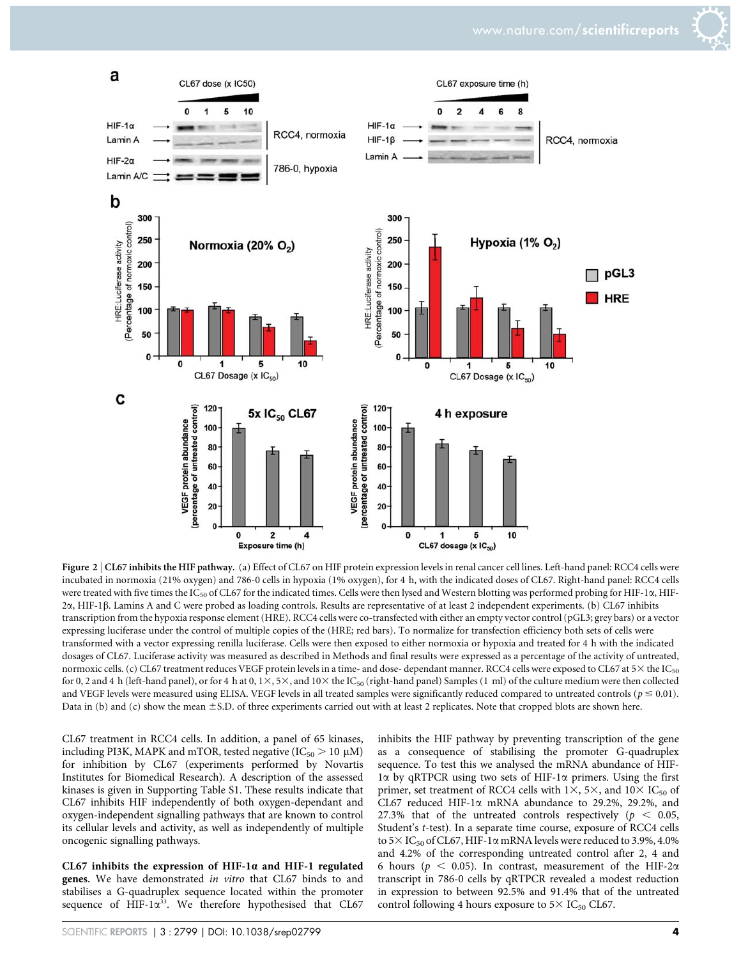

Figure 2 | CL67 inhibits the HIF pathway. (a) Effect of CL67 on HIF protein expression levels in renal cancer cell lines. Left-hand panel: RCC4 cells were incubated in normoxia (21% oxygen) and 786-0 cells in hypoxia (1% oxygen), for 4 h, with the indicated doses of CL67. Right-hand panel: RCC4 cells were treated with five times the IC<sub>50</sub> of CL67 for the indicated times. Cells were then lysed and Western blotting was performed probing for HIF-1 $\alpha$ , HIF-2a, HIF-1b. Lamins A and C were probed as loading controls. Results are representative of at least 2 independent experiments. (b) CL67 inhibits transcription from the hypoxia response element (HRE). RCC4 cells were co-transfected with either an empty vector control (pGL3; grey bars) or a vector expressing luciferase under the control of multiple copies of the (HRE; red bars). To normalize for transfection efficiency both sets of cells were transformed with a vector expressing renilla luciferase. Cells were then exposed to either normoxia or hypoxia and treated for 4 h with the indicated dosages of CL67. Luciferase activity was measured as described in Methods and final results were expressed as a percentage of the activity of untreated, normoxic cells. (c) CL67 treatment reduces VEGF protein levels in a time- and dose-dependant manner. RCC4 cells were exposed to CL67 at  $5\times$  the IC<sub>50</sub> for 0, 2 and 4 h (left-hand panel), or for 4 h at 0,  $1 \times$ ,  $5 \times$ , and  $10 \times$  the IC<sub>50</sub> (right-hand panel) Samples (1 ml) of the culture medium were then collected and VEGF levels were measured using ELISA. VEGF levels in all treated samples were significantly reduced compared to untreated controls ( $p \le 0.01$ ). Data in (b) and (c) show the mean ±S.D. of three experiments carried out with at least 2 replicates. Note that cropped blots are shown here.

CL67 treatment in RCC4 cells. In addition, a panel of 65 kinases, including PI3K, MAPK and mTOR, tested negative (IC $_{50}$   $>$  10  $\mu$ M) for inhibition by CL67 (experiments performed by Novartis Institutes for Biomedical Research). A description of the assessed kinases is given in Supporting Table S1. These results indicate that CL67 inhibits HIF independently of both oxygen-dependant and oxygen-independent signalling pathways that are known to control its cellular levels and activity, as well as independently of multiple oncogenic signalling pathways.

CL67 inhibits the expression of HIF-1 $\alpha$  and HIF-1 regulated genes. We have demonstrated in vitro that CL67 binds to and stabilises a G-quadruplex sequence located within the promoter sequence of HIF- $1\alpha^{33}$ . We therefore hypothesised that CL67 inhibits the HIF pathway by preventing transcription of the gene as a consequence of stabilising the promoter G-quadruplex sequence. To test this we analysed the mRNA abundance of HIF- $1\alpha$  by qRTPCR using two sets of HIF-1 $\alpha$  primers. Using the first primer, set treatment of RCC4 cells with  $1\times$ , 5 $\times$ , and  $10\times$  IC<sub>50</sub> of CL67 reduced HIF-1 $\alpha$  mRNA abundance to 29.2%, 29.2%, and 27.3% that of the untreated controls respectively ( $p < 0.05$ , Student's t-test). In a separate time course, exposure of RCC4 cells to 5 $\times$  IC<sub>50</sub> of CL67, HIF-1 $\alpha$  mRNA levels were reduced to 3.9%, 4.0% and 4.2% of the corresponding untreated control after 2, 4 and 6 hours ( $p < 0.05$ ). In contrast, measurement of the HIF-2 $\alpha$ transcript in 786-0 cells by qRTPCR revealed a modest reduction in expression to between 92.5% and 91.4% that of the untreated control following 4 hours exposure to  $5 \times$  IC<sub>50</sub> CL67.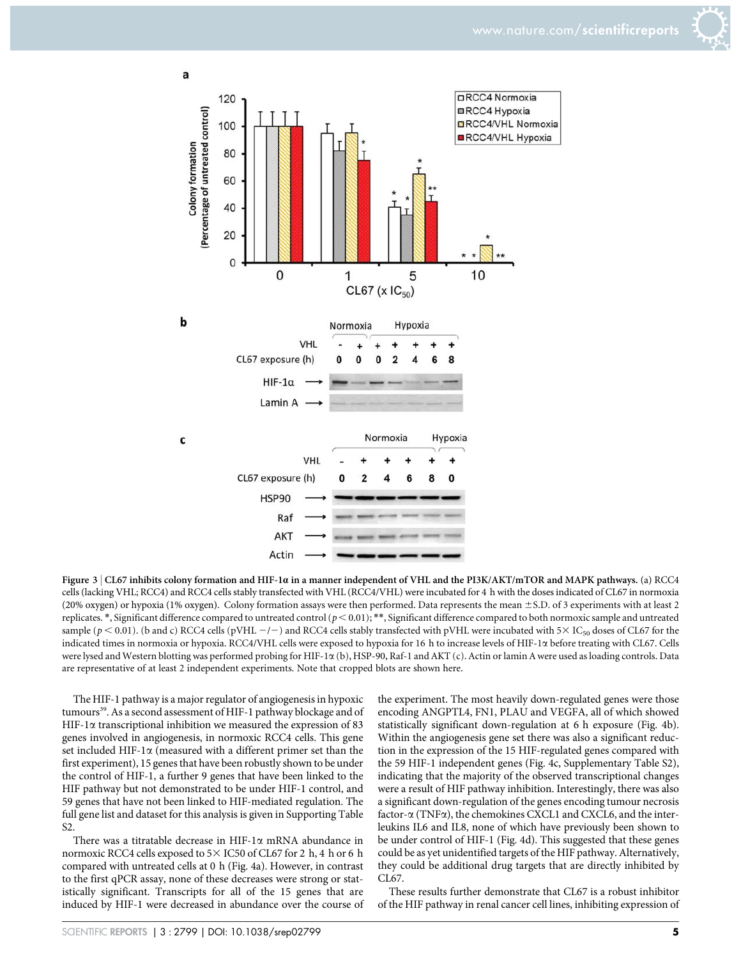



Figure 3 | CL67 inhibits colony formation and HIF-1a in a manner independent of VHL and the PI3K/AKT/mTOR and MAPK pathways. (a) RCC4 cells (lacking VHL; RCC4) and RCC4 cells stably transfected with VHL (RCC4/VHL) were incubated for 4 h with the doses indicated of CL67 in normoxia (20% oxygen) or hypoxia (1% oxygen). Colony formation assays were then performed. Data represents the mean ±S.D. of 3 experiments with at least 2 replicates.  $*$ , Significant difference compared to untreated control ( $p$  < 0.01);  $**$ , Significant difference compared to both normoxic sample and untreated sample ( $p < 0.01$ ). (b and c) RCC4 cells (pVHL  $-/-$ ) and RCC4 cells stably transfected with pVHL were incubated with 5 $\times$  IC<sub>50</sub> doses of CL67 for the indicated times in normoxia or hypoxia. RCC4/VHL cells were exposed to hypoxia for 16 h to increase levels of HIF-1a before treating with CL67. Cells were lysed and Western blotting was performed probing for HIF-1 $\alpha$  (b), HSP-90, Raf-1 and AKT (c). Actin or lamin A were used as loading controls. Data are representative of at least 2 independent experiments. Note that cropped blots are shown here.

The HIF-1 pathway is a major regulator of angiogenesis in hypoxic tumours<sup>39</sup>. As a second assessment of HIF-1 pathway blockage and of HIF-1 $\alpha$  transcriptional inhibition we measured the expression of 83 genes involved in angiogenesis, in normoxic RCC4 cells. This gene set included HIF-1 $\alpha$  (measured with a different primer set than the first experiment), 15 genes that have been robustly shown to be under the control of HIF-1, a further 9 genes that have been linked to the HIF pathway but not demonstrated to be under HIF-1 control, and 59 genes that have not been linked to HIF-mediated regulation. The full gene list and dataset for this analysis is given in Supporting Table S2.

There was a titratable decrease in HIF-1 $\alpha$  mRNA abundance in normoxic RCC4 cells exposed to  $5 \times$  IC50 of CL67 for 2 h, 4 h or 6 h compared with untreated cells at 0 h (Fig. 4a). However, in contrast to the first qPCR assay, none of these decreases were strong or statistically significant. Transcripts for all of the 15 genes that are induced by HIF-1 were decreased in abundance over the course of

the experiment. The most heavily down-regulated genes were those encoding ANGPTL4, FN1, PLAU and VEGFA, all of which showed statistically significant down-regulation at 6 h exposure (Fig. 4b). Within the angiogenesis gene set there was also a significant reduction in the expression of the 15 HIF-regulated genes compared with the 59 HIF-1 independent genes (Fig. 4c, Supplementary Table S2), indicating that the majority of the observed transcriptional changes were a result of HIF pathway inhibition. Interestingly, there was also a significant down-regulation of the genes encoding tumour necrosis factor- $\alpha$  (TNF $\alpha$ ), the chemokines CXCL1 and CXCL6, and the interleukins IL6 and IL8, none of which have previously been shown to be under control of HIF-1 (Fig. 4d). This suggested that these genes could be as yet unidentified targets of the HIF pathway. Alternatively, they could be additional drug targets that are directly inhibited by CL67.

These results further demonstrate that CL67 is a robust inhibitor of the HIF pathway in renal cancer cell lines, inhibiting expression of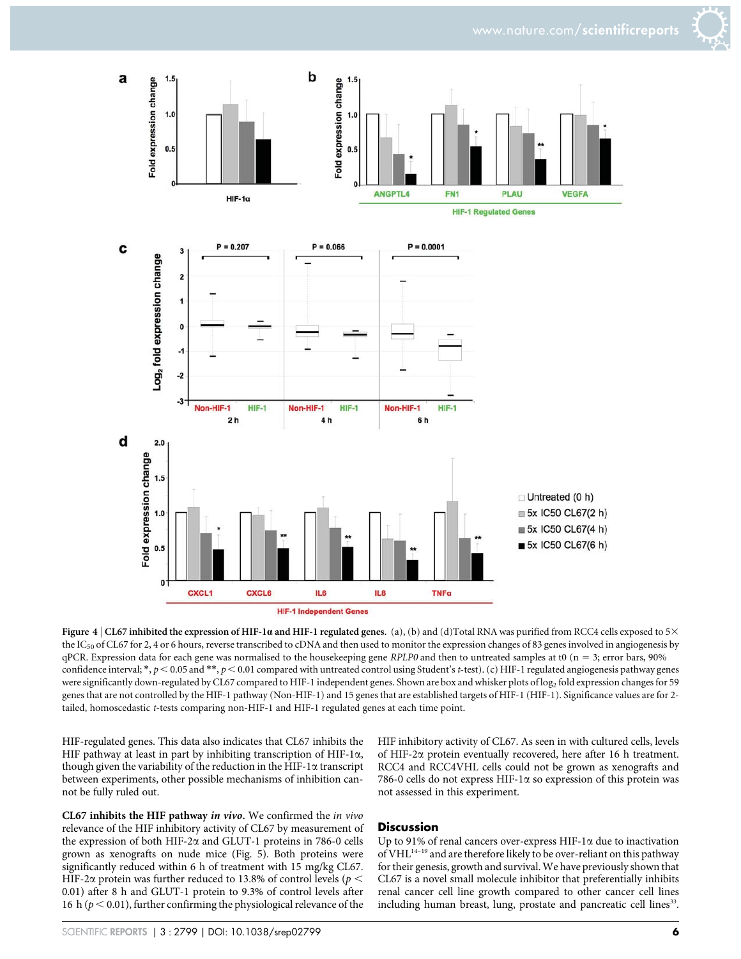

Figure 4 | CL67 inhibited the expression of HIF-1 $\alpha$  and HIF-1 regulated genes. (a), (b) and (d)Total RNA was purified from RCC4 cells exposed to 5 $\times$ the IC<sub>50</sub> of CL67 for 2, 4 or 6 hours, reverse transcribed to cDNA and then used to monitor the expression changes of 83 genes involved in angiogenesis by  $qPCR$ . Expression data for each gene was normalised to the housekeeping gene RPLP0 and then to untreated samples at t0 ( $n = 3$ ; error bars, 90%) confidence interval; \*,  $p < 0.05$  and \*\*,  $p < 0.01$  compared with untreated control using Student's t-test). (c) HIF-1 regulated angiogenesis pathway genes were significantly down-regulated by CL67 compared to HIF-1 independent genes. Shown are box and whisker plots of log<sub>2</sub> fold expression changes for 59 genes that are not controlled by the HIF-1 pathway (Non-HIF-1) and 15 genes that are established targets of HIF-1 (HIF-1). Significance values are for 2 tailed, homoscedastic t-tests comparing non-HIF-1 and HIF-1 regulated genes at each time point.

HIF-regulated genes. This data also indicates that CL67 inhibits the HIF pathway at least in part by inhibiting transcription of HIF-1 $\alpha$ , though given the variability of the reduction in the HIF-1 $\alpha$  transcript between experiments, other possible mechanisms of inhibition cannot be fully ruled out.

CL67 inhibits the HIF pathway in vivo. We confirmed the in vivo relevance of the HIF inhibitory activity of CL67 by measurement of the expression of both HIF-2 $\alpha$  and GLUT-1 proteins in 786-0 cells grown as xenografts on nude mice (Fig. 5). Both proteins were significantly reduced within 6 h of treatment with 15 mg/kg CL67. HIF-2 $\alpha$  protein was further reduced to 13.8% of control levels ( $p <$ 0.01) after 8 h and GLUT-1 protein to 9.3% of control levels after 16 h ( $p < 0.01$ ), further confirming the physiological relevance of the

HIF inhibitory activity of CL67. As seen in with cultured cells, levels of HIF-2a protein eventually recovered, here after 16 h treatment. RCC4 and RCC4VHL cells could not be grown as xenografts and 786-0 cells do not express HIF-1 $\alpha$  so expression of this protein was not assessed in this experiment.

#### **Discussion**

Up to 91% of renal cancers over-express HIF-1 $\alpha$  due to inactivation of VHL $^{14-19}$  and are therefore likely to be over-reliant on this pathway for their genesis, growth and survival. We have previously shown that CL67 is a novel small molecule inhibitor that preferentially inhibits renal cancer cell line growth compared to other cancer cell lines including human breast, lung, prostate and pancreatic cell lines<sup>33</sup>.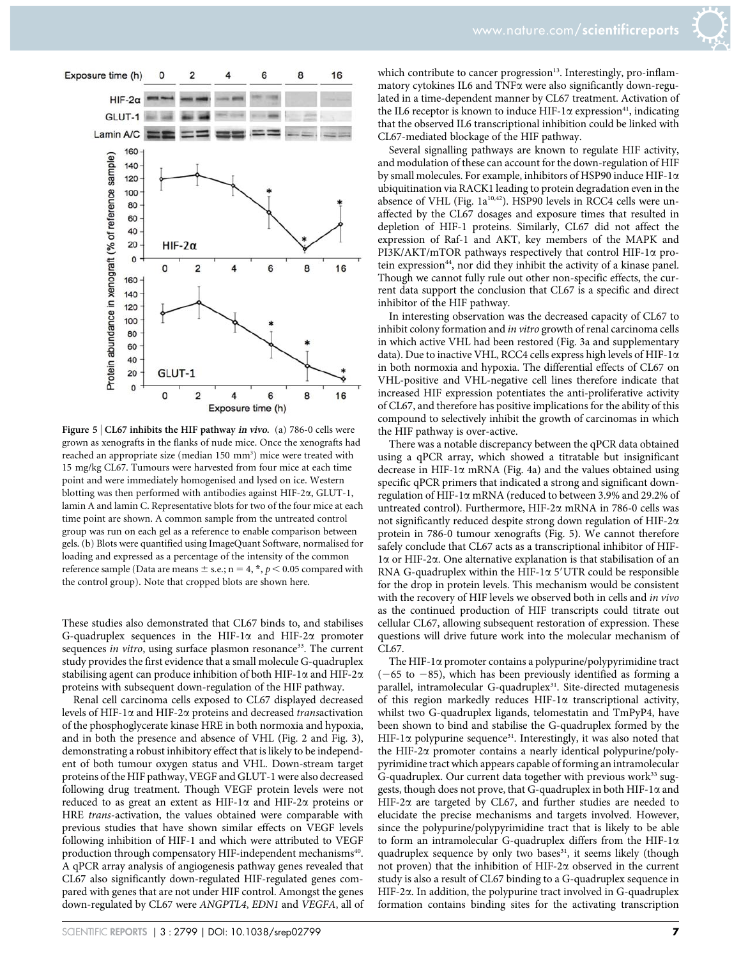

Figure 5 | CL67 inhibits the HIF pathway in vivo. (a) 786-0 cells were grown as xenografts in the flanks of nude mice. Once the xenografts had reached an appropriate size (median 150 mm<sup>3</sup>) mice were treated with 15 mg/kg CL67. Tumours were harvested from four mice at each time point and were immediately homogenised and lysed on ice. Western blotting was then performed with antibodies against HIF-2a, GLUT-1, lamin A and lamin C. Representative blots for two of the four mice at each time point are shown. A common sample from the untreated control group was run on each gel as a reference to enable comparison between gels. (b) Blots were quantified using ImageQuant Software, normalised for loading and expressed as a percentage of the intensity of the common reference sample (Data are means  $\pm$  s.e.; n = 4,  $\ast$ ,  $p$  < 0.05 compared with the control group). Note that cropped blots are shown here.

These studies also demonstrated that CL67 binds to, and stabilises G-quadruplex sequences in the HIF-1 $\alpha$  and HIF-2 $\alpha$  promoter sequences *in vitro*, using surface plasmon resonance<sup>33</sup>. The current study provides the first evidence that a small molecule G-quadruplex stabilising agent can produce inhibition of both HIF-1 $\alpha$  and HIF-2 $\alpha$ proteins with subsequent down-regulation of the HIF pathway.

Renal cell carcinoma cells exposed to CL67 displayed decreased levels of HIF-1 $\alpha$  and HIF-2 $\alpha$  proteins and decreased transactivation of the phosphoglycerate kinase HRE in both normoxia and hypoxia, and in both the presence and absence of VHL (Fig. 2 and Fig. 3), demonstrating a robust inhibitory effect that is likely to be independent of both tumour oxygen status and VHL. Down-stream target proteins of the HIF pathway, VEGF and GLUT-1 were also decreased following drug treatment. Though VEGF protein levels were not reduced to as great an extent as HIF-1 $\alpha$  and HIF-2 $\alpha$  proteins or HRE trans-activation, the values obtained were comparable with previous studies that have shown similar effects on VEGF levels following inhibition of HIF-1 and which were attributed to VEGF production through compensatory HIF-independent mechanisms<sup>40</sup>. A qPCR array analysis of angiogenesis pathway genes revealed that CL67 also significantly down-regulated HIF-regulated genes compared with genes that are not under HIF control. Amongst the genes down-regulated by CL67 were ANGPTL4, EDN1 and VEGFA, all of which contribute to cancer progression $13$ . Interestingly, pro-inflammatory cytokines IL6 and TNFa were also significantly down-regulated in a time-dependent manner by CL67 treatment. Activation of the IL6 receptor is known to induce HIF-1 $\alpha$  expression<sup>41</sup>, indicating that the observed IL6 transcriptional inhibition could be linked with CL67-mediated blockage of the HIF pathway.

Several signalling pathways are known to regulate HIF activity, and modulation of these can account for the down-regulation of HIF by small molecules. For example, inhibitors of HSP90 induce HIF-1 $\alpha$ ubiquitination via RACK1 leading to protein degradation even in the absence of VHL (Fig.  $1a^{10,42}$ ). HSP90 levels in RCC4 cells were unaffected by the CL67 dosages and exposure times that resulted in depletion of HIF-1 proteins. Similarly, CL67 did not affect the expression of Raf-1 and AKT, key members of the MAPK and  $PI3K/AKT/mTOR$  pathways respectively that control HIF-1 $\alpha$  protein expression<sup>44</sup>, nor did they inhibit the activity of a kinase panel. Though we cannot fully rule out other non-specific effects, the current data support the conclusion that CL67 is a specific and direct inhibitor of the HIF pathway.

In interesting observation was the decreased capacity of CL67 to inhibit colony formation and *in vitro* growth of renal carcinoma cells in which active VHL had been restored (Fig. 3a and supplementary data). Due to inactive VHL, RCC4 cells express high levels of HIF-1 $\alpha$ in both normoxia and hypoxia. The differential effects of CL67 on VHL-positive and VHL-negative cell lines therefore indicate that increased HIF expression potentiates the anti-proliferative activity of CL67, and therefore has positive implications for the ability of this compound to selectively inhibit the growth of carcinomas in which the HIF pathway is over-active.

There was a notable discrepancy between the qPCR data obtained using a qPCR array, which showed a titratable but insignificant decrease in HIF-1 $\alpha$  mRNA (Fig. 4a) and the values obtained using specific qPCR primers that indicated a strong and significant downregulation of HIF-1 $\alpha$  mRNA (reduced to between 3.9% and 29.2% of untreated control). Furthermore, HIF-2 $\alpha$  mRNA in 786-0 cells was not significantly reduced despite strong down regulation of HIF-2 $\alpha$ protein in 786-0 tumour xenografts (Fig. 5). We cannot therefore safely conclude that CL67 acts as a transcriptional inhibitor of HIF- $1\alpha$  or HIF-2 $\alpha$ . One alternative explanation is that stabilisation of an RNA G-quadruplex within the HIF-1 $\alpha$  5'UTR could be responsible for the drop in protein levels. This mechanism would be consistent with the recovery of HIF levels we observed both in cells and in vivo as the continued production of HIF transcripts could titrate out cellular CL67, allowing subsequent restoration of expression. These questions will drive future work into the molecular mechanism of CL67.

The HIF-1 $\alpha$  promoter contains a polypurine/polypyrimidine tract  $(-65$  to  $-85)$ , which has been previously identified as forming a parallel, intramolecular G-quadruplex<sup>31</sup>. Site-directed mutagenesis of this region markedly reduces HIF-1 $\alpha$  transcriptional activity, whilst two G-quadruplex ligands, telomestatin and TmPyP4, have been shown to bind and stabilise the G-quadruplex formed by the HIF-1 $\alpha$  polypurine sequence<sup>31</sup>. Interestingly, it was also noted that the HIF-2a promoter contains a nearly identical polypurine/polypyrimidine tract which appears capable of forming an intramolecular G-quadruplex. Our current data together with previous work $33$  suggests, though does not prove, that G-quadruplex in both HIF-1 $\alpha$  and HIF-2 $\alpha$  are targeted by CL67, and further studies are needed to elucidate the precise mechanisms and targets involved. However, since the polypurine/polypyrimidine tract that is likely to be able to form an intramolecular G-quadruplex differs from the HIF-1 $\alpha$ quadruplex sequence by only two bases<sup>31</sup>, it seems likely (though not proven) that the inhibition of HIF-2 $\alpha$  observed in the current study is also a result of CL67 binding to a G-quadruplex sequence in HIF-2a. In addition, the polypurine tract involved in G-quadruplex formation contains binding sites for the activating transcription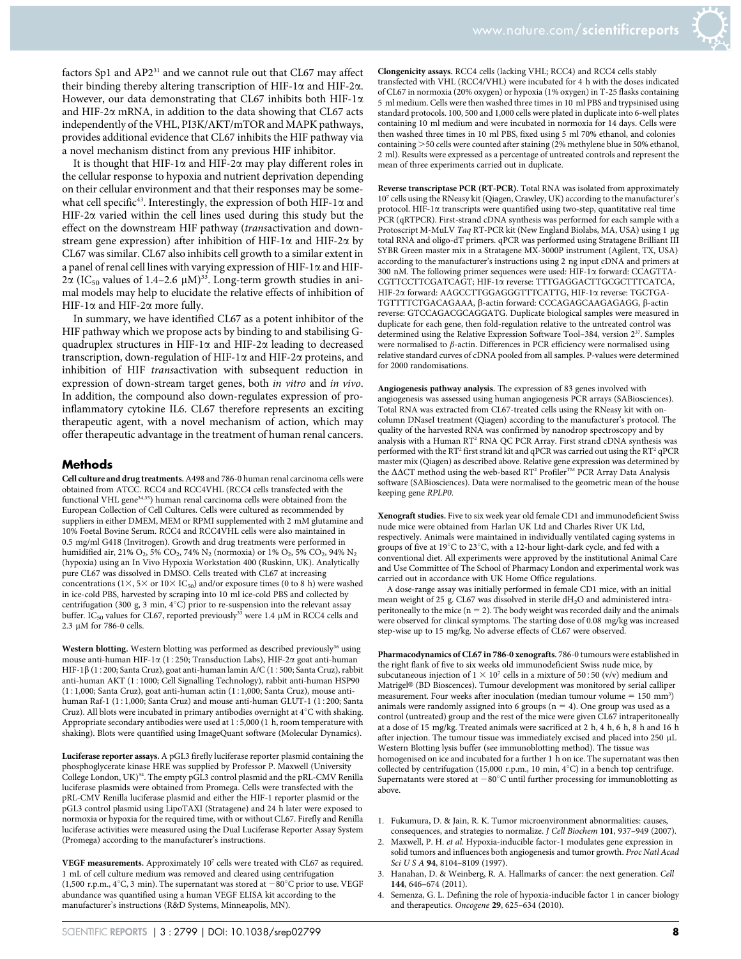

factors Sp1 and AP2<sup>31</sup> and we cannot rule out that CL67 may affect their binding thereby altering transcription of HIF-1 $\alpha$  and HIF-2 $\alpha$ . However, our data demonstrating that CL67 inhibits both HIF-1 $\alpha$ and HIF-2 $\alpha$  mRNA, in addition to the data showing that CL67 acts independently of the VHL, PI3K/AKT/mTOR and MAPK pathways, provides additional evidence that CL67 inhibits the HIF pathway via a novel mechanism distinct from any previous HIF inhibitor.

It is thought that HIF-1 $\alpha$  and HIF-2 $\alpha$  may play different roles in the cellular response to hypoxia and nutrient deprivation depending on their cellular environment and that their responses may be somewhat cell specific<sup>43</sup>. Interestingly, the expression of both HIF-1 $\alpha$  and HIF-2 $\alpha$  varied within the cell lines used during this study but the effect on the downstream HIF pathway (transactivation and downstream gene expression) after inhibition of HIF-1 $\alpha$  and HIF-2 $\alpha$  by CL67 was similar. CL67 also inhibits cell growth to a similar extent in a panel of renal cell lines with varying expression of HIF-1 $\alpha$  and HIF- $2\alpha$  (IC<sub>50</sub> values of 1.4–2.6  $\mu$ M)<sup>33</sup>. Long-term growth studies in animal models may help to elucidate the relative effects of inhibition of HIF-1 $\alpha$  and HIF-2 $\alpha$  more fully.

In summary, we have identified CL67 as a potent inhibitor of the HIF pathway which we propose acts by binding to and stabilising Gquadruplex structures in HIF-1 $\alpha$  and HIF-2 $\alpha$  leading to decreased transcription, down-regulation of HIF-1a and HIF-2a proteins, and inhibition of HIF transactivation with subsequent reduction in expression of down-stream target genes, both in vitro and in vivo. In addition, the compound also down-regulates expression of proinflammatory cytokine IL6. CL67 therefore represents an exciting therapeutic agent, with a novel mechanism of action, which may offer therapeutic advantage in the treatment of human renal cancers.

#### **Methods**

Cell culture and drug treatments.A498 and 786-0 human renal carcinoma cells were obtained from ATCC. RCC4 and RCC4VHL (RCC4 cells transfected with the functional VHL gene<sup>34,35</sup>) human renal carcinoma cells were obtained from the European Collection of Cell Cultures. Cells were cultured as recommended by suppliers in either DMEM, MEM or RPMI supplemented with 2 mM glutamine and 10% Foetal Bovine Serum. RCC4 and RCC4VHL cells were also maintained in 0.5 mg/ml G418 (Invitrogen). Growth and drug treatments were performed in humidified air, 21% O<sub>2</sub>, 5% CO<sub>2</sub>, 74% N<sub>2</sub> (normoxia) or 1% O<sub>2</sub>, 5% CO<sub>2</sub>, 94% N<sub>2</sub> (hypoxia) using an In Vivo Hypoxia Workstation 400 (Ruskinn, UK). Analytically pure CL67 was dissolved in DMSO. Cells treated with CL67 at increasing concentrations (1 $\times$ , 5 $\times$  or 10 $\times$  IC<sub>50</sub>) and/or exposure times (0 to 8 h) were washed in ice-cold PBS, harvested by scraping into 10 ml ice-cold PBS and collected by centrifugation (300 g, 3 min,  $4^{\circ}$ C) prior to re-suspension into the relevant assay buffer. IC<sub>50</sub> values for CL67, reported previously<sup>33</sup> were 1.4  $\mu$ M in RCC4 cells and  $2.3 \mu M$  for 786-0 cells.

Western blotting. Western blotting was performed as described previously<sup>36</sup> using mouse anti-human HIF-1 $\alpha$  (1:250; Transduction Labs), HIF-2 $\alpha$  goat anti-human HIF-1 $\beta$  (1:200; Santa Cruz), goat anti-human lamin A/C (1:500; Santa Cruz), rabbit anti-human AKT (1:1000; Cell Signalling Technology), rabbit anti-human HSP90  $(1:1,000; Santa Cruz)$ , goat anti-human actin  $(1:1,000; Santa Cruz)$ , mouse antihuman Raf-1 (1:1,000; Santa Cruz) and mouse anti-human GLUT-1 (1:200; Santa Cruz). All blots were incubated in primary antibodies overnight at  $4^{\circ}\mathrm{C}$  with shaking. Appropriate secondary antibodies were used at  $1:5,000$  (1 h, room temperature with shaking). Blots were quantified using ImageQuant software (Molecular Dynamics).

Luciferase reporter assays. A pGL3 firefly luciferase reporter plasmid containing the phosphoglycerate kinase HRE was supplied by Professor P. Maxwell (University College London, UK)34. The empty pGL3 control plasmid and the pRL-CMV Renilla luciferase plasmids were obtained from Promega. Cells were transfected with the pRL-CMV Renilla luciferase plasmid and either the HIF-1 reporter plasmid or the pGL3 control plasmid using LipoTAXI (Stratagene) and 24 h later were exposed to normoxia or hypoxia for the required time, with or without CL67. Firefly and Renilla luciferase activities were measured using the Dual Luciferase Reporter Assay System (Promega) according to the manufacturer's instructions.

VEGF measurements. Approximately  $10<sup>7</sup>$  cells were treated with CL67 as required. 1 mL of cell culture medium was removed and cleared using centrifugation (1,500 r.p.m.,  $4^{\circ}$ C, 3 min). The supernatant was stored at  $-80^{\circ}$ C prior to use. VEGF abundance was quantified using a human VEGF ELISA kit according to the manufacturer's instructions (R&D Systems, Minneapolis, MN).

Clongenicity assays. RCC4 cells (lacking VHL; RCC4) and RCC4 cells stably transfected with VHL (RCC4/VHL) were incubated for 4 h with the doses indicated of CL67 in normoxia (20% oxygen) or hypoxia (1% oxygen) in T-25 flasks containing 5 ml medium. Cells were then washed three times in 10 ml PBS and trypsinised using standard protocols. 100, 500 and 1,000 cells were plated in duplicate into 6-well plates containing 10 ml medium and were incubated in normoxia for 14 days. Cells were then washed three times in 10 ml PBS, fixed using 5 ml 70% ethanol, and colonies containing  $>$  50 cells were counted after staining (2% methylene blue in 50% ethanol, 2 ml). Results were expressed as a percentage of untreated controls and represent the mean of three experiments carried out in duplicate.

Reverse transcriptase PCR (RT-PCR). Total RNA was isolated from approximately 107 cells using the RNeasy kit (Qiagen, Crawley, UK) according to the manufacturer's protocol. HIF-1a transcripts were quantified using two-step, quantitative real time PCR (qRTPCR). First-strand cDNA synthesis was performed for each sample with a Protoscript M-MuLV Taq RT-PCR kit (New England Biolabs, MA, USA) using 1 µg total RNA and oligo-dT primers. qPCR was performed using Stratagene Brilliant III SYBR Green master mix in a Stratagene MX-3000P instrument (Agilent, TX, USA) according to the manufacturer's instructions using 2 ng input cDNA and primers at 300 nM. The following primer sequences were used: HIF-1a forward: CCAGTTA-CGTTCCTTCGATCAGT; HIF-1a reverse: TTTGAGGACTTGCGCTTTCATCA, HIF-2a forward: AAGCCTTGGAGGGTTTCATTG, HIF-1a reverse: TGCTGA-TGTTTTCTGACAGAAA, b-actin forward: CCCAGAGCAAGAGAGG, b-actin reverse: GTCCAGACGCAGGATG. Duplicate biological samples were measured in duplicate for each gene, then fold-regulation relative to the untreated control was determined using the Relative Expression Software Tool-384, version 2<sup>37</sup>. Samples were normalised to  $\beta$ -actin. Differences in PCR efficiency were normalised using relative standard curves of cDNA pooled from all samples. P-values were determined for 2000 randomisations.

Angiogenesis pathway analysis. The expression of 83 genes involved with angiogenesis was assessed using human angiogenesis PCR arrays (SABiosciences). Total RNA was extracted from CL67-treated cells using the RNeasy kit with oncolumn DNaseI treatment (Qiagen) according to the manufacturer's protocol. The quality of the harvested RNA was confirmed by nanodrop spectroscopy and by analysis with a Human RT<sup>2</sup> RNA QC PCR Array. First strand cDNA synthesis was performed with the RT<sup>2</sup> first strand kit and qPCR was carried out using the RT<sup>2</sup> qPCR master mix (Qiagen) as described above. Relative gene expression was determined by<br>the ∆∆CT method using the web-based RT² Profiler™ PCR Array Data Analysis software (SABiosciences). Data were normalised to the geometric mean of the house keeping gene RPLP0.

Xenograft studies. Five to six week year old female CD1 and immunodeficient Swiss nude mice were obtained from Harlan UK Ltd and Charles River UK Ltd, respectively. Animals were maintained in individually ventilated caging systems in groups of five at  $19^{\circ}$ C to  $23^{\circ}$ C, with a 12-hour light-dark cycle, and fed with a conventional diet. All experiments were approved by the institutional Animal Care and Use Committee of The School of Pharmacy London and experimental work was carried out in accordance with UK Home Office regulations.

A dose-range assay was initially performed in female CD1 mice, with an initial mean weight of 25 g. CL67 was dissolved in sterile dH<sub>2</sub>O and administered intraperitoneally to the mice ( $n = 2$ ). The body weight was recorded daily and the animals were observed for clinical symptoms. The starting dose of 0.08 mg/kg was increased step-wise up to 15 mg/kg. No adverse effects of CL67 were observed.

Pharmacodynamics of CL67 in 786-0 xenografts. 786-0 tumours were established in the right flank of five to six weeks old immunodeficient Swiss nude mice, by subcutaneous injection of  $1 \times 10^7$  cells in a mixture of 50:50 (v/v) medium and Matrigel® (BD Bioscences). Tumour development was monitored by serial calliper measurement. Four weeks after inoculation (median tumour volume  $= 150$  mm<sup>3</sup>) animals were randomly assigned into 6 groups ( $n = 4$ ). One group was used as a control (untreated) group and the rest of the mice were given CL67 intraperitoneally at a dose of 15 mg/kg. Treated animals were sacrificed at 2 h, 4 h, 6 h, 8 h and 16 h after injection. The tumour tissue was immediately excised and placed into 250 µL Western Blotting lysis buffer (see immunoblotting method). The tissue was homogenised on ice and incubated for a further 1 h on ice. The supernatant was then collected by centrifugation (15,000 r.p.m., 10 min,  $4^{\circ}$ C) in a bench top centrifuge. Supernatants were stored at  $-80^{\circ}$ C until further processing for immunoblotting as above.

- 1. Fukumura, D. & Jain, R. K. Tumor microenvironment abnormalities: causes, consequences, and strategies to normalize. J Cell Biochem 101, 937–949 (2007).
- 2. Maxwell, P. H. et al. Hypoxia-inducible factor-1 modulates gene expression in solid tumors and influences both angiogenesis and tumor growth. Proc Natl Acad Sci U S A 94, 8104-8109 (1997).
- 3. Hanahan, D. & Weinberg, R. A. Hallmarks of cancer: the next generation. Cell 144, 646–674 (2011).
- 4. Semenza, G. L. Defining the role of hypoxia-inducible factor 1 in cancer biology and therapeutics. Oncogene 29, 625–634 (2010).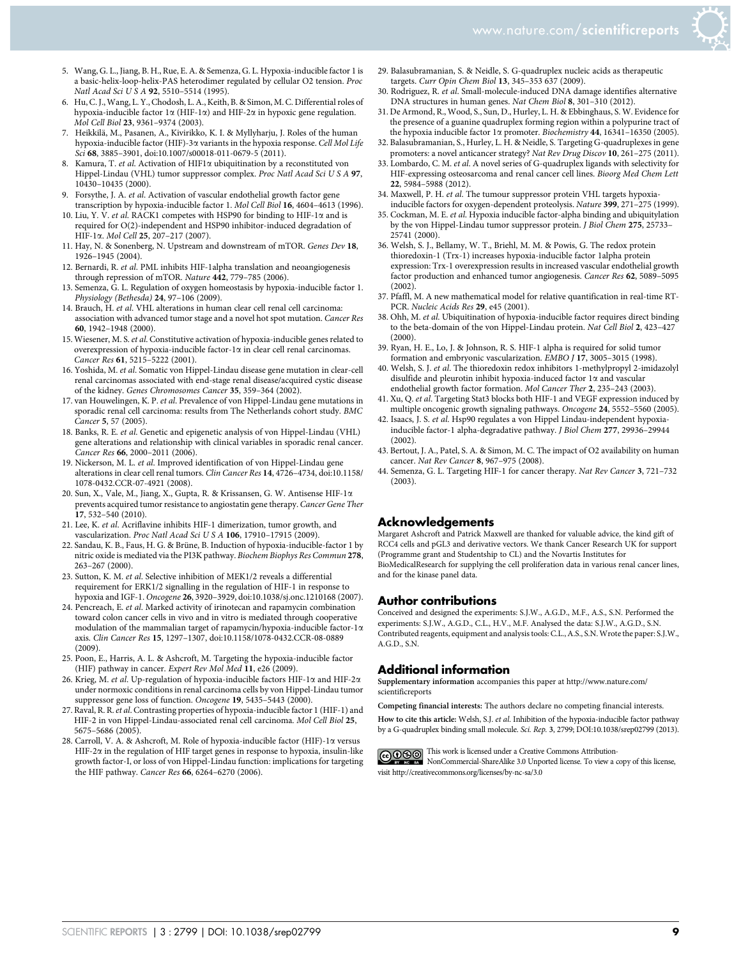

- 5. Wang, G. L., Jiang, B. H., Rue, E. A. & Semenza, G. L. Hypoxia-inducible factor 1 is a basic-helix-loop-helix-PAS heterodimer regulated by cellular O2 tension. Proc Natl Acad Sci U S A 92, 5510–5514 (1995).
- 6. Hu, C. J.,Wang, L. Y., Chodosh, L. A., Keith, B. & Simon, M. C. Differential roles of hypoxia-inducible factor  $1\alpha$  (HIF-1 $\alpha$ ) and HIF-2 $\alpha$  in hypoxic gene regulation. Mol Cell Biol 23, 9361–9374 (2003).
- 7. Heikkilä, M., Pasanen, A., Kivirikko, K. I. & Myllyharju, J. Roles of the human hypoxia-inducible factor (HIF)-3 $\alpha$  variants in the hypoxia response. Cell Mol Life Sci 68, 3885–3901, doi:10.1007/s00018-011-0679-5 (2011).
- Kamura, T. et al. Activation of HIF1 $\alpha$  ubiquitination by a reconstituted von Hippel-Lindau (VHL) tumor suppressor complex. Proc Natl Acad Sci U S A 97, 10430–10435 (2000).
- 9. Forsythe, J. A. et al. Activation of vascular endothelial growth factor gene transcription by hypoxia-inducible factor 1. Mol Cell Biol 16, 4604–4613 (1996).
- 10. Liu, Y. V. et al. RACK1 competes with HSP90 for binding to HIF-1 $\alpha$  and is required for O(2)-independent and HSP90 inhibitor-induced degradation of HIF-1a. Mol Cell 25, 207–217 (2007).
- 11. Hay, N. & Sonenberg, N. Upstream and downstream of mTOR. Genes Dev 18, 1926–1945 (2004).
- 12. Bernardi, R. et al. PML inhibits HIF-1alpha translation and neoangiogenesis through repression of mTOR. Nature 442, 779-785 (2006).
- 13. Semenza, G. L. Regulation of oxygen homeostasis by hypoxia-inducible factor 1. Physiology (Bethesda) 24, 97–106 (2009).
- 14. Brauch, H. et al. VHL alterations in human clear cell renal cell carcinoma: association with advanced tumor stage and a novel hot spot mutation. Cancer Res 60, 1942–1948 (2000).
- 15. Wiesener, M. S. et al. Constitutive activation of hypoxia-inducible genes related to overexpression of hypoxia-inducible factor-1 $\alpha$  in clear cell renal carcinomas. Cancer Res 61, 5215–5222 (2001).
- 16. Yoshida, M. et al. Somatic von Hippel-Lindau disease gene mutation in clear-cell renal carcinomas associated with end-stage renal disease/acquired cystic disease of the kidney. Genes Chromosomes Cancer 35, 359–364 (2002).
- 17. van Houwelingen, K. P. et al. Prevalence of von Hippel-Lindau gene mutations in sporadic renal cell carcinoma: results from The Netherlands cohort study. BMC Cancer 5, 57 (2005).
- 18. Banks, R. E. et al. Genetic and epigenetic analysis of von Hippel-Lindau (VHL) gene alterations and relationship with clinical variables in sporadic renal cancer. Cancer Res 66, 2000–2011 (2006).
- 19. Nickerson, M. L. et al. Improved identification of von Hippel-Lindau gene alterations in clear cell renal tumors. Clin Cancer Res 14, 4726–4734, doi:10.1158/ 1078-0432.CCR-07-4921 (2008).
- 20. Sun, X., Vale, M., Jiang, X., Gupta, R. & Krissansen, G. W. Antisense HIF-1a prevents acquired tumor resistance to angiostatin gene therapy. Cancer Gene Ther 17, 532–540 (2010).
- 21. Lee, K. et al. Acriflavine inhibits HIF-1 dimerization, tumor growth, and vascularization. Proc Natl Acad Sci U S A 106, 17910–17915 (2009).
- 22. Sandau, K. B., Faus, H. G. & Brüne, B. Induction of hypoxia-inducible-factor 1 by nitric oxide is mediated via the PI3K pathway. Biochem Biophys Res Commun 278, 263–267 (2000).
- 23. Sutton, K. M. et al. Selective inhibition of MEK1/2 reveals a differential requirement for ERK1/2 signalling in the regulation of HIF-1 in response to hypoxia and IGF-1. Oncogene 26, 3920–3929, doi:10.1038/sj.onc.1210168 (2007).
- 24. Pencreach, E. et al. Marked activity of irinotecan and rapamycin combination toward colon cancer cells in vivo and in vitro is mediated through cooperative modulation of the mammalian target of rapamycin/hypoxia-inducible factor-1 $\alpha$ axis. Clin Cancer Res 15, 1297–1307, doi:10.1158/1078-0432.CCR-08-0889 (2009).
- 25. Poon, E., Harris, A. L. & Ashcroft, M. Targeting the hypoxia-inducible factor (HIF) pathway in cancer. Expert Rev Mol Med 11, e26 (2009).
- 26. Krieg, M. et al. Up-regulation of hypoxia-inducible factors HIF-1 $\alpha$  and HIF-2 $\alpha$ under normoxic conditions in renal carcinoma cells by von Hippel-Lindau tumor suppressor gene loss of function. Oncogene 19, 5435–5443 (2000).
- 27. Raval, R. R.et al. Contrasting properties of hypoxia-inducible factor 1 (HIF-1) and HIF-2 in von Hippel-Lindau-associated renal cell carcinoma. Mol Cell Biol 25, 5675–5686 (2005).
- 28. Carroll, V. A. & Ashcroft, M. Role of hypoxia-inducible factor (HIF)-1a versus  $\rm HIF\text{-}2\alpha$  in the regulation of  $\rm HIF$  target genes in response to hypoxia, insulin-like growth factor-I, or loss of von Hippel-Lindau function: implications for targeting the HIF pathway. Cancer Res 66, 6264-6270 (2006).
- 29. Balasubramanian, S. & Neidle, S. G-quadruplex nucleic acids as therapeutic targets. Curr Opin Chem Biol 13, 345–353 637 (2009).
- 30. Rodriguez, R. et al. Small-molecule-induced DNA damage identifies alternative DNA structures in human genes. Nat Chem Biol 8, 301–310 (2012).
- 31. De Armond, R., Wood, S., Sun, D., Hurley, L. H. & Ebbinghaus, S. W. Evidence for the presence of a guanine quadruplex forming region within a polypurine tract of the hypoxia inducible factor  $1\alpha$  promoter. Biochemistry 44, 16341-16350 (2005).
- 32. Balasubramanian, S., Hurley, L. H. & Neidle, S. Targeting G-quadruplexes in gene promoters: a novel anticancer strategy? Nat Rev Drug Discov 10, 261–275 (2011).
- 33. Lombardo, C. M. et al. A novel series of G-quadruplex ligands with selectivity for HIF-expressing osteosarcoma and renal cancer cell lines. Bioorg Med Chem Lett 22, 5984–5988 (2012).
- 34. Maxwell, P. H. et al. The tumour suppressor protein VHL targets hypoxiainducible factors for oxygen-dependent proteolysis. Nature 399, 271–275 (1999).
- 35. Cockman, M. E. et al. Hypoxia inducible factor-alpha binding and ubiquitylation by the von Hippel-Lindau tumor suppressor protein. J Biol Chem 275, 25733– 25741 (2000).
- 36. Welsh, S. J., Bellamy, W. T., Briehl, M. M. & Powis, G. The redox protein thioredoxin-1 (Trx-1) increases hypoxia-inducible factor 1alpha protein expression: Trx-1 overexpression results in increased vascular endothelial growth factor production and enhanced tumor angiogenesis. Cancer Res 62, 5089–5095 (2002).
- 37. Pfaffl, M. A new mathematical model for relative quantification in real-time RT-PCR. Nucleic Acids Res 29, e45 (2001).
- 38. Ohh, M. et al. Ubiquitination of hypoxia-inducible factor requires direct binding to the beta-domain of the von Hippel-Lindau protein. Nat Cell Biol 2, 423–427  $(2000)$
- 39. Ryan, H. E., Lo, J. & Johnson, R. S. HIF-1 alpha is required for solid tumor formation and embryonic vascularization. EMBO J 17, 3005-3015 (1998).
- 40. Welsh, S. J. et al. The thioredoxin redox inhibitors 1-methylpropyl 2-imidazolyl disulfide and pleurotin inhibit hypoxia-induced factor  $1\alpha$  and vascular endothelial growth factor formation. Mol Cancer Ther 2, 235–243 (2003).
- 41. Xu, Q. et al. Targeting Stat3 blocks both HIF-1 and VEGF expression induced by multiple oncogenic growth signaling pathways. Oncogene 24, 5552–5560 (2005).
- 42. Isaacs, J. S. et al. Hsp90 regulates a von Hippel Lindau-independent hypoxiainducible factor-1 alpha-degradative pathway. J Biol Chem 277, 29936–29944  $(2002)$
- 43. Bertout, J. A., Patel, S. A. & Simon, M. C. The impact of O2 availability on human cancer. Nat Rev Cancer 8, 967–975 (2008).
- 44. Semenza, G. L. Targeting HIF-1 for cancer therapy. Nat Rev Cancer 3, 721–732 (2003).

#### Acknowledgements

Margaret Ashcroft and Patrick Maxwell are thanked for valuable advice, the kind gift of RCC4 cells and pGL3 and derivative vectors. We thank Cancer Research UK for support (Programme grant and Studentship to CL) and the Novartis Institutes for BioMedicalResearch for supplying the cell proliferation data in various renal cancer lines, and for the kinase panel data

#### Author contributions

Conceived and designed the experiments: S.J.W., A.G.D., M.F., A.S., S.N. Performed the experiments: S.J.W., A.G.D., C.L., H.V., M.F. Analysed the data: S.J.W., A.G.D., S.N. Contributed reagents, equipment and analysis tools: C.L., A.S., S.N. Wrote the paper: S.J.W.,  $A$ .G.D.,  $S$ .N.

#### Additional information

Supplementary information accompanies this paper at http://www.nature.com/ scientificreports

Competing financial interests: The authors declare no competing financial interests.

How to cite this article: Welsh, S.J. et al. Inhibition of the hypoxia-inducible factor pathway by a G-quadruplex binding small molecule. Sci. Rep. 3, 2799; DOI:10.1038/srep02799 (2013).

This work is licensed under a Creative Commons Attribution-NonCommercial-ShareAlike 3.0 Unported license. To view a copy of this license, visit http://creativecommons.org/licenses/by-nc-sa/3.0